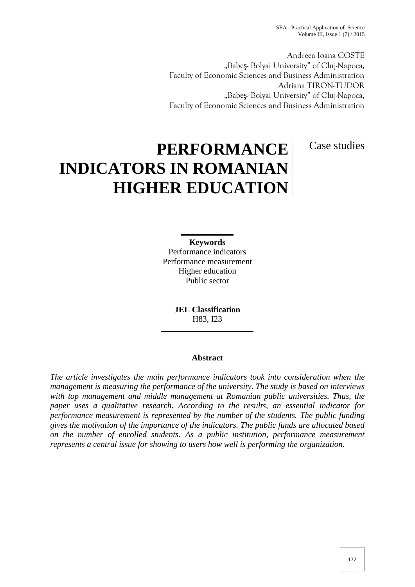SEA - Practical Application of Science Volume III, Issue  $1(7)/2015$ 

Andreea Ioana COSTE "Babe - Bolyai University" of Cluj-Napoca, Faculty of Economic Sciences and Business Administration Adriana TIRON-TUDOR "Babe - Bolyai University" of Cluj-Napoca, Faculty of Economic Sciences and Business Administration

Case studies

# **PERFORMANCE INDICATORS IN ROMANIAN HIGHER EDUCATION**

**Keywords** Performance indicators Performance measurement Higher education Public sector

> **JEL Classification** H83, I23

## **Abstract**

*The article investigates the main performance indicators took into consideration when the management is measuring the performance of the university. The study is based on interviews with top management and middle management at Romanian public universities. Thus, the paper uses a qualitative research. According to the results, an essential indicator for performance measurement is represented by the number of the students. The public funding gives the motivation of the importance of the indicators. The public funds are allocated based on the number of enrolled students. As a public institution, performance measurement represents a central issue for showing to users how well is performing the organization.*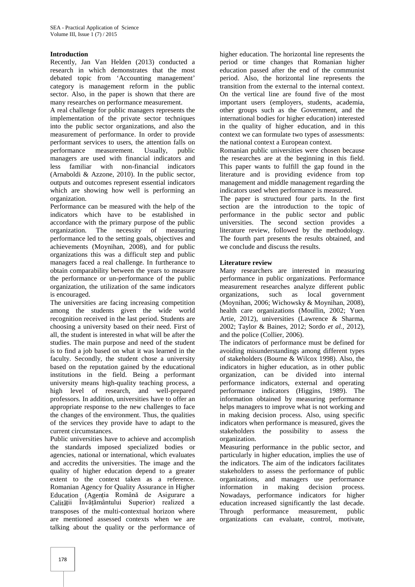## **Introduction**

Recently, Jan Van Helden (2013) conducted a research in which demonstrates that the most debated topic from 'Accounting management' category is management reform in the public sector. Also, in the paper is shown that there are many researches on performance measurement.

A real challenge for public managers represents the implementation of the private sector techniques into the public sector organizations, and also the measurement of performance. In order to provide performant services to users, the attention falls on performance measurement. Usually, public managers are used with financial indicators and less familiar with non-financial indicators (Arnaboldi & Azzone, 2010). In the public sector, outputs and outcomes represent essential indicators which are showing how well is performing an organization.

Performance can be measured with the help of the indicators which have to be established in accordance with the primary purpose of the public organization. The necessity of measuring performance led to the setting goals, objectives and achievements (Moynihan, 2008), and for public organizations this was a difficult step and public managers faced a real challenge. In furtherance to obtain comparability between the years to measure the performance or un-performance of the public organization, the utilization of the same indicators is encouraged.

The universities are facing increasing competition among the students given the wide world recognition received in the last period. Students are choosing a university based on their need. First of all, the student is interested in what will be after the studies. The main purpose and need of the student is to find a job based on what it was learned in the faculty. Secondly, the student chose a university based on the reputation gained by the educational institutions in the field. Being a performant university means high-quality teaching process, a high level of research, and well-prepared professors. In addition, universities have to offer an appropriate response to the new challenges to face the changes of the environment. Thus, the qualities of the services they provide have to adapt to the current circumstances.

Public universities have to achieve and accomplish the standards imposed specialized bodies or agencies, national or international, which evaluates and accredits the universities. The image and the quality of higher education depend to a greater extent to the context taken as a reference. Romanian Agency for Quality Assurance in Higher Education (Agenția Română de Asigurare a Calit ții Învățământului Superior) realized a transposes of the multi-contextual horizon where are mentioned assessed contexts when we are talking about the quality or the performance of

higher education. The horizontal line represents the period or time changes that Romanian higher education passed after the end of the communist period. Also, the horizontal line represents the transition from the external to the internal context. On the vertical line are found five of the most important users (employers, students, academia, other groups such as the Government, and the international bodies for higher education) interested in the quality of higher education, and in this context we can formulate two types of assessments: the national context a European context.

Romanian public universities were chosen because the researches are at the beginning in this field. This paper wants to fulfill the gap found in the literature and is providing evidence from top management and middle management regarding the indicators used when performance is measured.

The paper is structured four parts. In the first section are the introduction to the topic of performance in the public sector and public universities. The second section provides a literature review, followed by the methodology. The fourth part presents the results obtained, and we conclude and discuss the results.

## **Literature review**

Many researchers are interested in measuring performance in public organizations. Performance measurement researches analyze different public organizations, such as local government (Moynihan, 2006; Wichowsky & Moynihan, 2008), health care organizations (Moullin, 2002; Yuen Artie, 2012), universities (Lawrence & Sharma, 2002; Taylor & Baines, 2012; Sordo *et al.*, 2012), and the police (Collier, 2006).

The indicators of performance must be defined for avoiding misunderstandings among different types of stakeholders (Bourne & Wilcox 1998). Also, the indicators in higher education, as in other public organization, can be divided into internal performance indicators, external and operating performance indicators (Higgins, 1989). The information obtained by measuring performance helps managers to improve what is not working and in making decision process. Also, using specific indicators when performance is measured, gives the stakeholders the possibility to assess the organization.

Measuring performance in the public sector, and particularly in higher education, implies the use of the indicators. The aim of the indicators facilitates stakeholders to assess the performance of public organizations, and managers use performance information in making decision process. Nowadays, performance indicators for higher education increased significantly the last decade. Through performance measurement, public organizations can evaluate, control, motivate,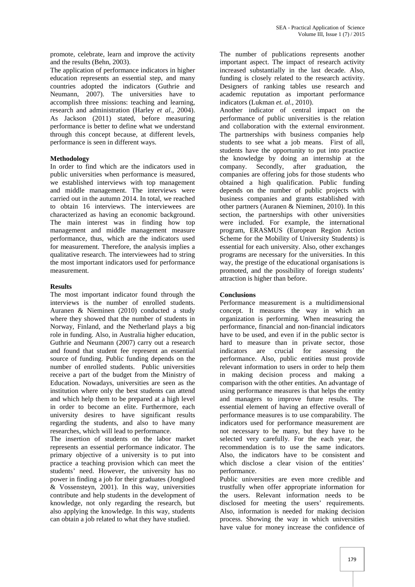promote, celebrate, learn and improve the activity and the results (Behn, 2003).

The application of performance indicators in higher education represents an essential step, and many countries adopted the indicators (Guthrie and Neumann, 2007). The universities have to accomplish three missions: teaching and learning, research and administration (Harley *et al*., 2004). As Jackson (2011) stated, before measuring performance is better to define what we understand through this concept because, at different levels, performance is seen in different ways.

## **Methodology**

In order to find which are the indicators used in company. public universities when performance is measured, we established interviews with top management and middle management. The interviews were carried out in the autumn 2014. In total, we reached to obtain 16 interviews. The interviewees are characterized as having an economic background. The main interest was in finding how top management and middle management measure performance, thus, which are the indicators used for measurement. Therefore, the analysis implies a qualitative research. The interviewees had to string the most important indicators used for performance measurement.

## **Results**

The most important indicator found through the interviews is the number of enrolled students. Auranen & Nieminen (2010) conducted a study where they showed that the number of students in Norway, Finland, and the Netherland plays a big role in funding. Also, in Australia higher education, Guthrie and Neumann (2007) carry out a research and found that student fee represent an essential source of funding. Public funding depends on the number of enrolled students. Public universities receive a part of the budget from the Ministry of Education. Nowadays, universities are seen as the institution where only the best students can attend and which help them to be prepared at a high level in order to become an elite. Furthermore, each university desires to have significant results regarding the students, and also to have many researches, which will lead to performance.

The insertion of students on the labor market represents an essential performance indicator. The primary objective of a university is to put into practice a teaching provision which can meet the students' need. However, the university has no power in finding a job for their graduates (Jongloed & Vossensteyn, 2001). In this way, universities contribute and help students in the development of knowledge, not only regarding the research, but also applying the knowledge. In this way, students can obtain a job related to what they have studied.

The number of publications represents another important aspect. The impact of research activity increased substantially in the last decade. Also, funding is closely related to the research activity. Designers of ranking tables use research and academic reputation as important performance indicators (Lukman *et. al.*, 2010).

Another indicator of central impact on the performance of public universities is the relation and collaboration with the external environment. The partnerships with business companies help students to see what a job means. First of all, students have the opportunity to put into practice the knowledge by doing an internship at the Secondly, after graduation, the companies are offering jobs for those students who obtained a high qualification. Public funding depends on the number of public projects with business companies and grants established with other partners (Auranen & Nieminen, 2010). In this section, the partnerships with other universities were included. For example, the international program, ERASMUS (European Region Action Scheme for the Mobility of University Students) is essential for each university. Also, other exchanges programs are necessary for the universities. In this way, the prestige of the educational organisations is promoted, and the possibility of foreign students' attraction is higher than before.

# **Conclusions**

Performance measurement is a multidimensional concept. It measures the way in which an organization is performing. When measuring the performance, financial and non-financial indicators have to be used, and even if in the public sector is hard to measure than in private sector, those indicators are crucial for assessing the performance. Also, public entities must provide relevant information to users in order to help them in making decision process and making a comparison with the other entities. An advantage of using performance measures is that helps the entity and managers to improve future results. The essential element of having an effective overall of performance measures is to use comparability. The indicators used for performance measurement are not necessary to be many, but they have to be selected very carefully. For the each year, the recommendation is to use the same indicators. Also, the indicators have to be consistent and which disclose a clear vision of the entities' performance.

Public universities are even more credible and trustfully when offer appropriate information for the users. Relevant information needs to be disclosed for meeting the users' requirements. Also, information is needed for making decision process. Showing the way in which universities have value for money increase the confidence of